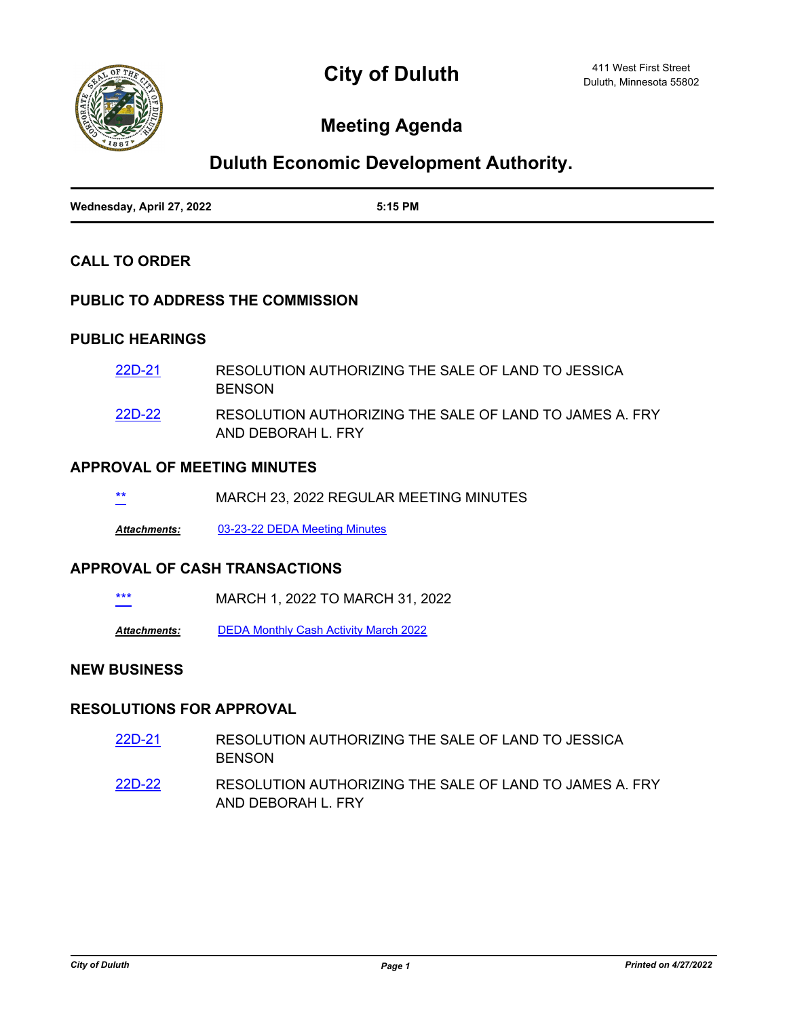

# **Meeting Agenda**

## **Duluth Economic Development Authority.**

| Wednesday, April 27, 2022 | 5:15 PM |
|---------------------------|---------|

#### **CALL TO ORDER**

#### **PUBLIC TO ADDRESS THE COMMISSION**

#### **PUBLIC HEARINGS**

| 22D-21 | RESOLUTION AUTHORIZING THE SALE OF LAND TO JESSICA<br><b>BENSON</b>           |
|--------|-------------------------------------------------------------------------------|
| 22D-22 | RESOLUTION AUTHORIZING THE SALE OF LAND TO JAMES A. FRY<br>AND DEBORAH L. FRY |

#### **APPROVAL OF MEETING MINUTES**

| **     | MARCH 23, 2022 REGULAR MEETING MINUTES |
|--------|----------------------------------------|
| $\sim$ |                                        |
|        |                                        |

*Attachments:* [03-23-22 DEDA Meeting Minutes](http://duluth-mn.legistar.com/gateway.aspx?M=F&ID=0e4978c3-7518-41bd-a8f8-45b06eafaeb1.docx)

#### **APPROVAL OF CASH TRANSACTIONS**

MARCH 1, 2022 TO MARCH 31, 2022

*Attachments:* [DEDA Monthly Cash Activity March 2022](http://duluth-mn.legistar.com/gateway.aspx?M=F&ID=ace6d984-ca7e-4aa5-a471-dd86488bccc8.pdf)

#### **NEW BUSINESS**

### **RESOLUTIONS FOR APPROVAL**

- RESOLUTION AUTHORIZING THE SALE OF LAND TO JESSICA BENSON [22D-21](http://duluth-mn.legistar.com/gateway.aspx?m=l&id=/matter.aspx?key=8116)
- RESOLUTION AUTHORIZING THE SALE OF LAND TO JAMES A. FRY AND DEBORAH L. FRY [22D-22](http://duluth-mn.legistar.com/gateway.aspx?m=l&id=/matter.aspx?key=8117)